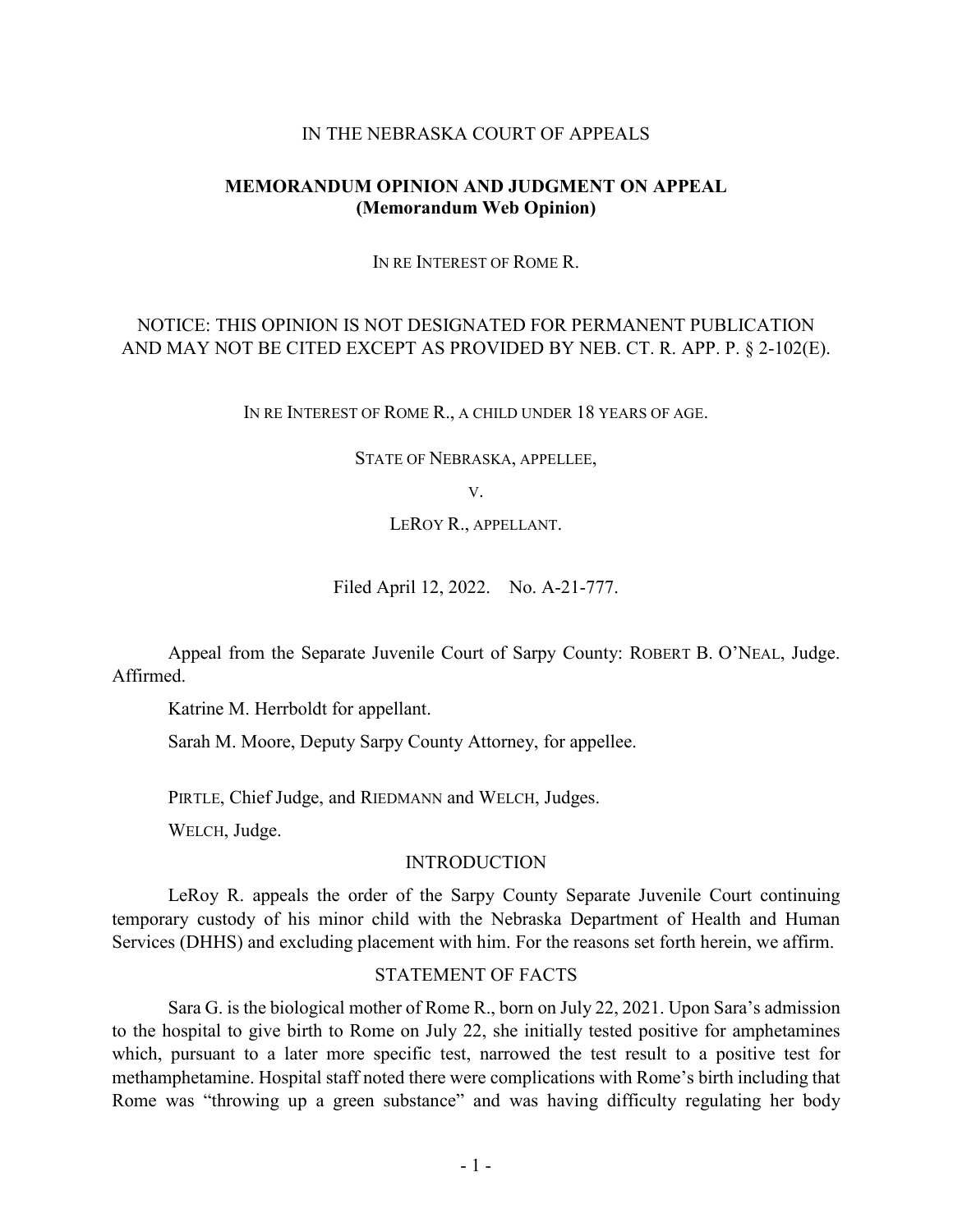#### IN THE NEBRASKA COURT OF APPEALS

### **MEMORANDUM OPINION AND JUDGMENT ON APPEAL (Memorandum Web Opinion)**

IN RE INTEREST OF ROME R.

# NOTICE: THIS OPINION IS NOT DESIGNATED FOR PERMANENT PUBLICATION AND MAY NOT BE CITED EXCEPT AS PROVIDED BY NEB. CT. R. APP. P. § 2-102(E).

IN RE INTEREST OF ROME R., A CHILD UNDER 18 YEARS OF AGE.

STATE OF NEBRASKA, APPELLEE,

V.

LEROY R., APPELLANT.

Filed April 12, 2022. No. A-21-777.

Appeal from the Separate Juvenile Court of Sarpy County: ROBERT B. O'NEAL, Judge. Affirmed.

Katrine M. Herrboldt for appellant.

Sarah M. Moore, Deputy Sarpy County Attorney, for appellee.

PIRTLE, Chief Judge, and RIEDMANN and WELCH, Judges.

WELCH, Judge.

### INTRODUCTION

LeRoy R. appeals the order of the Sarpy County Separate Juvenile Court continuing temporary custody of his minor child with the Nebraska Department of Health and Human Services (DHHS) and excluding placement with him. For the reasons set forth herein, we affirm.

## STATEMENT OF FACTS

Sara G. is the biological mother of Rome R., born on July 22, 2021. Upon Sara's admission to the hospital to give birth to Rome on July 22, she initially tested positive for amphetamines which, pursuant to a later more specific test, narrowed the test result to a positive test for methamphetamine. Hospital staff noted there were complications with Rome's birth including that Rome was "throwing up a green substance" and was having difficulty regulating her body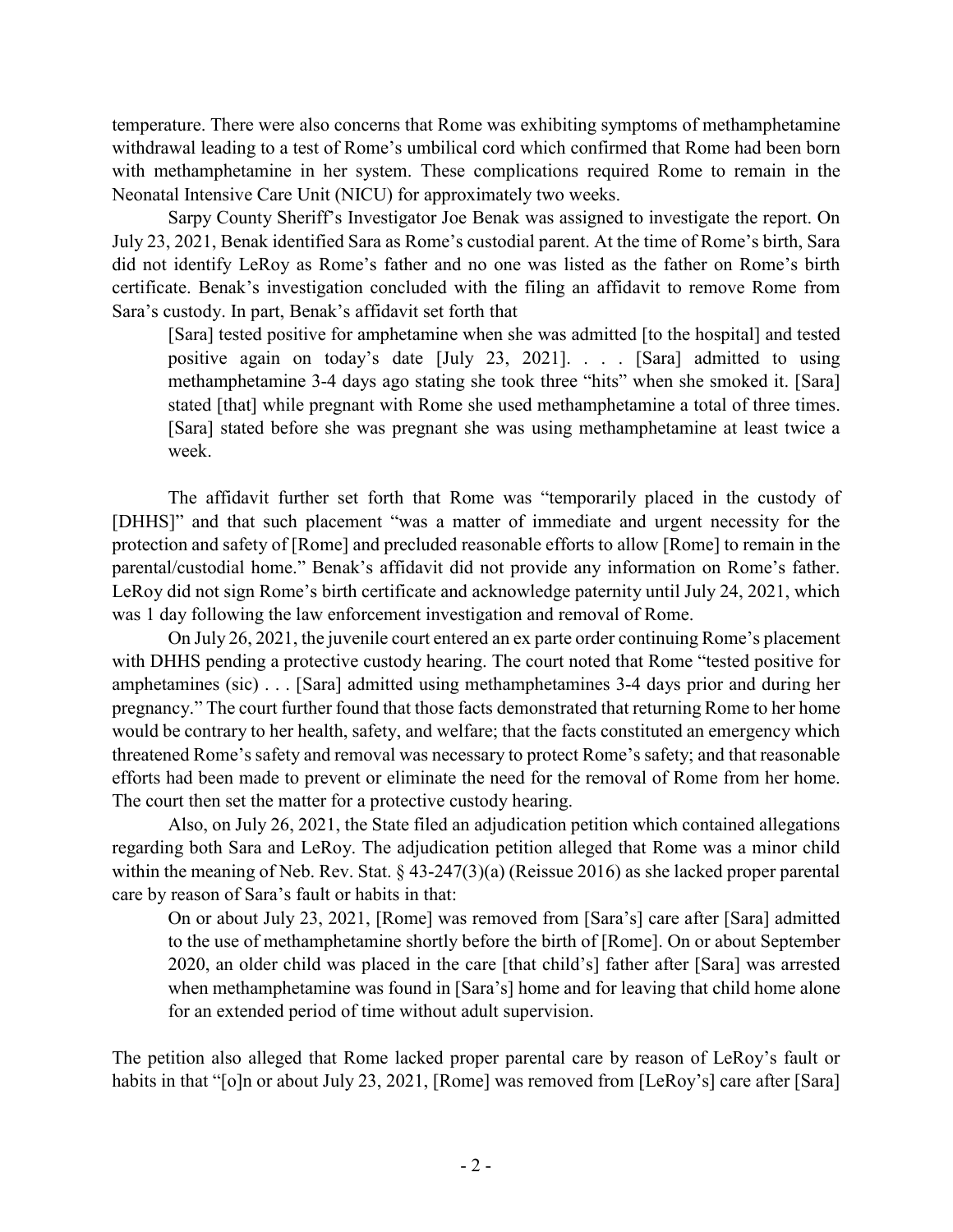temperature. There were also concerns that Rome was exhibiting symptoms of methamphetamine withdrawal leading to a test of Rome's umbilical cord which confirmed that Rome had been born with methamphetamine in her system. These complications required Rome to remain in the Neonatal Intensive Care Unit (NICU) for approximately two weeks.

Sarpy County Sheriff's Investigator Joe Benak was assigned to investigate the report. On July 23, 2021, Benak identified Sara as Rome's custodial parent. At the time of Rome's birth, Sara did not identify LeRoy as Rome's father and no one was listed as the father on Rome's birth certificate. Benak's investigation concluded with the filing an affidavit to remove Rome from Sara's custody. In part, Benak's affidavit set forth that

[Sara] tested positive for amphetamine when she was admitted [to the hospital] and tested positive again on today's date [July 23, 2021]. . . . [Sara] admitted to using methamphetamine 3-4 days ago stating she took three "hits" when she smoked it. [Sara] stated [that] while pregnant with Rome she used methamphetamine a total of three times. [Sara] stated before she was pregnant she was using methamphetamine at least twice a week.

The affidavit further set forth that Rome was "temporarily placed in the custody of [DHHS]" and that such placement "was a matter of immediate and urgent necessity for the protection and safety of [Rome] and precluded reasonable efforts to allow [Rome] to remain in the parental/custodial home." Benak's affidavit did not provide any information on Rome's father. LeRoy did not sign Rome's birth certificate and acknowledge paternity until July 24, 2021, which was 1 day following the law enforcement investigation and removal of Rome.

On July 26, 2021, the juvenile court entered an ex parte order continuing Rome's placement with DHHS pending a protective custody hearing. The court noted that Rome "tested positive for amphetamines (sic) . . . [Sara] admitted using methamphetamines 3-4 days prior and during her pregnancy." The court further found that those facts demonstrated that returning Rome to her home would be contrary to her health, safety, and welfare; that the facts constituted an emergency which threatened Rome's safety and removal was necessary to protect Rome's safety; and that reasonable efforts had been made to prevent or eliminate the need for the removal of Rome from her home. The court then set the matter for a protective custody hearing.

Also, on July 26, 2021, the State filed an adjudication petition which contained allegations regarding both Sara and LeRoy. The adjudication petition alleged that Rome was a minor child within the meaning of Neb. Rev. Stat. § 43-247(3)(a) (Reissue 2016) as she lacked proper parental care by reason of Sara's fault or habits in that:

On or about July 23, 2021, [Rome] was removed from [Sara's] care after [Sara] admitted to the use of methamphetamine shortly before the birth of [Rome]. On or about September 2020, an older child was placed in the care [that child's] father after [Sara] was arrested when methamphetamine was found in [Sara's] home and for leaving that child home alone for an extended period of time without adult supervision.

The petition also alleged that Rome lacked proper parental care by reason of LeRoy's fault or habits in that "[o]n or about July 23, 2021, [Rome] was removed from [LeRoy's] care after [Sara]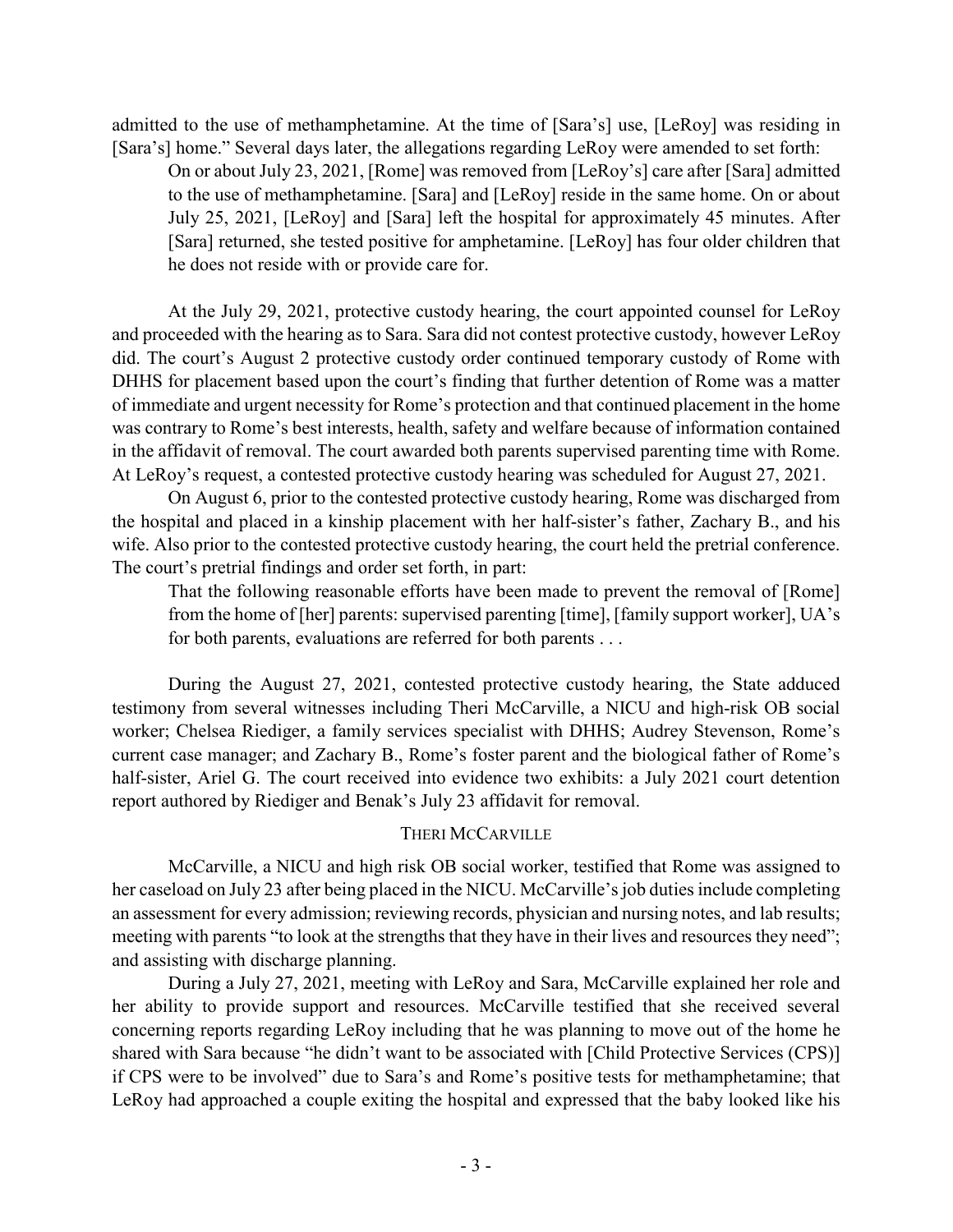admitted to the use of methamphetamine. At the time of [Sara's] use, [LeRoy] was residing in [Sara's] home." Several days later, the allegations regarding LeRoy were amended to set forth:

On or about July 23, 2021, [Rome] was removed from [LeRoy's] care after [Sara] admitted to the use of methamphetamine. [Sara] and [LeRoy] reside in the same home. On or about July 25, 2021, [LeRoy] and [Sara] left the hospital for approximately 45 minutes. After [Sara] returned, she tested positive for amphetamine. [LeRoy] has four older children that he does not reside with or provide care for.

At the July 29, 2021, protective custody hearing, the court appointed counsel for LeRoy and proceeded with the hearing as to Sara. Sara did not contest protective custody, however LeRoy did. The court's August 2 protective custody order continued temporary custody of Rome with DHHS for placement based upon the court's finding that further detention of Rome was a matter of immediate and urgent necessity for Rome's protection and that continued placement in the home was contrary to Rome's best interests, health, safety and welfare because of information contained in the affidavit of removal. The court awarded both parents supervised parenting time with Rome. At LeRoy's request, a contested protective custody hearing was scheduled for August 27, 2021.

On August 6, prior to the contested protective custody hearing, Rome was discharged from the hospital and placed in a kinship placement with her half-sister's father, Zachary B., and his wife. Also prior to the contested protective custody hearing, the court held the pretrial conference. The court's pretrial findings and order set forth, in part:

That the following reasonable efforts have been made to prevent the removal of [Rome] from the home of [her] parents: supervised parenting [time], [family support worker], UA's for both parents, evaluations are referred for both parents . . .

During the August 27, 2021, contested protective custody hearing, the State adduced testimony from several witnesses including Theri McCarville, a NICU and high-risk OB social worker; Chelsea Riediger, a family services specialist with DHHS; Audrey Stevenson, Rome's current case manager; and Zachary B., Rome's foster parent and the biological father of Rome's half-sister, Ariel G. The court received into evidence two exhibits: a July 2021 court detention report authored by Riediger and Benak's July 23 affidavit for removal.

### THERI MCCARVILLE

McCarville, a NICU and high risk OB social worker, testified that Rome was assigned to her caseload on July 23 after being placed in the NICU. McCarville's job duties include completing an assessment for every admission; reviewing records, physician and nursing notes, and lab results; meeting with parents "to look at the strengths that they have in their lives and resources they need"; and assisting with discharge planning.

During a July 27, 2021, meeting with LeRoy and Sara, McCarville explained her role and her ability to provide support and resources. McCarville testified that she received several concerning reports regarding LeRoy including that he was planning to move out of the home he shared with Sara because "he didn't want to be associated with [Child Protective Services (CPS)] if CPS were to be involved" due to Sara's and Rome's positive tests for methamphetamine; that LeRoy had approached a couple exiting the hospital and expressed that the baby looked like his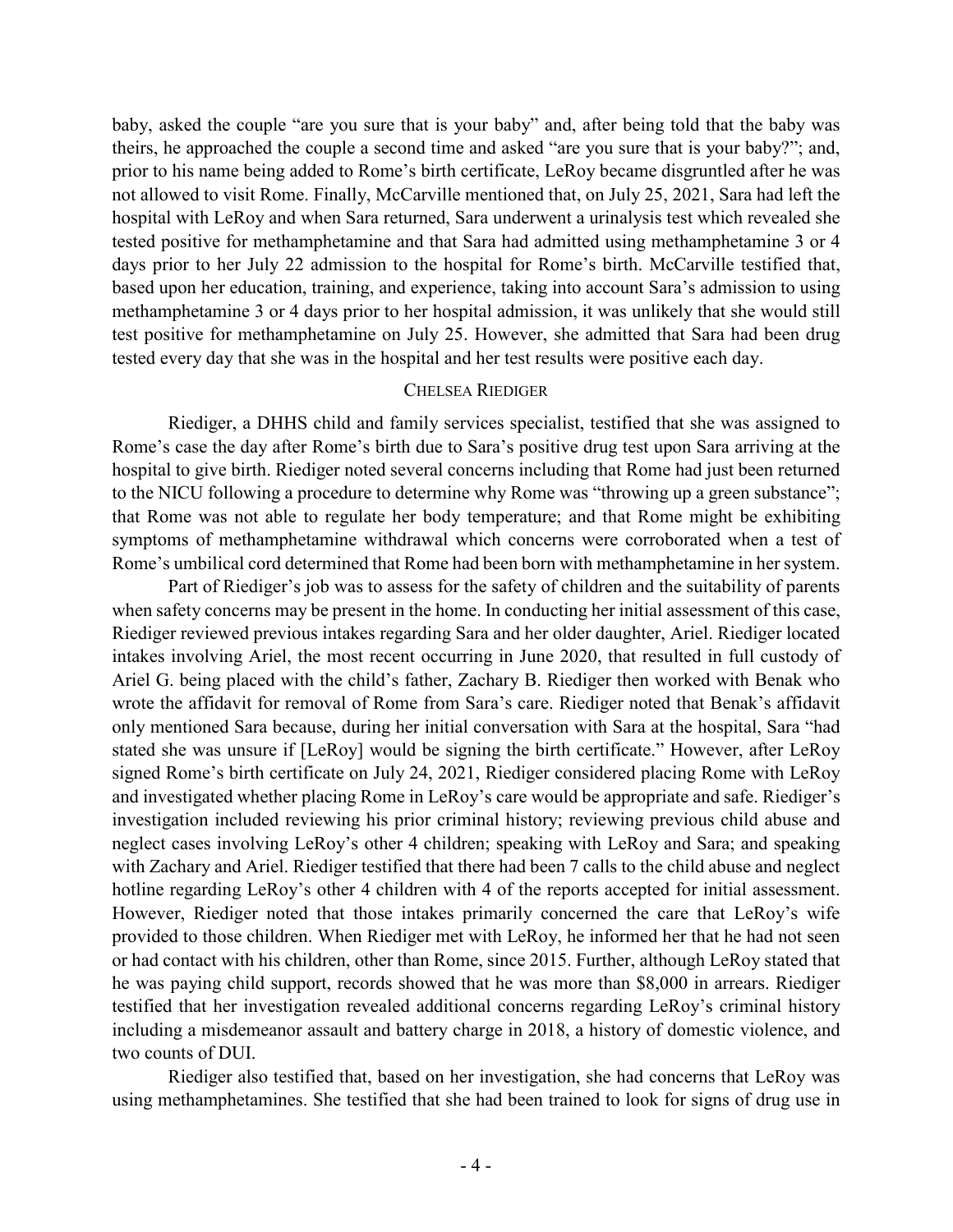baby, asked the couple "are you sure that is your baby" and, after being told that the baby was theirs, he approached the couple a second time and asked "are you sure that is your baby?"; and, prior to his name being added to Rome's birth certificate, LeRoy became disgruntled after he was not allowed to visit Rome. Finally, McCarville mentioned that, on July 25, 2021, Sara had left the hospital with LeRoy and when Sara returned, Sara underwent a urinalysis test which revealed she tested positive for methamphetamine and that Sara had admitted using methamphetamine 3 or 4 days prior to her July 22 admission to the hospital for Rome's birth. McCarville testified that, based upon her education, training, and experience, taking into account Sara's admission to using methamphetamine 3 or 4 days prior to her hospital admission, it was unlikely that she would still test positive for methamphetamine on July 25. However, she admitted that Sara had been drug tested every day that she was in the hospital and her test results were positive each day.

### CHELSEA RIEDIGER

Riediger, a DHHS child and family services specialist, testified that she was assigned to Rome's case the day after Rome's birth due to Sara's positive drug test upon Sara arriving at the hospital to give birth. Riediger noted several concerns including that Rome had just been returned to the NICU following a procedure to determine why Rome was "throwing up a green substance"; that Rome was not able to regulate her body temperature; and that Rome might be exhibiting symptoms of methamphetamine withdrawal which concerns were corroborated when a test of Rome's umbilical cord determined that Rome had been born with methamphetamine in her system.

Part of Riediger's job was to assess for the safety of children and the suitability of parents when safety concerns may be present in the home. In conducting her initial assessment of this case, Riediger reviewed previous intakes regarding Sara and her older daughter, Ariel. Riediger located intakes involving Ariel, the most recent occurring in June 2020, that resulted in full custody of Ariel G. being placed with the child's father, Zachary B. Riediger then worked with Benak who wrote the affidavit for removal of Rome from Sara's care. Riediger noted that Benak's affidavit only mentioned Sara because, during her initial conversation with Sara at the hospital, Sara "had stated she was unsure if [LeRoy] would be signing the birth certificate." However, after LeRoy signed Rome's birth certificate on July 24, 2021, Riediger considered placing Rome with LeRoy and investigated whether placing Rome in LeRoy's care would be appropriate and safe. Riediger's investigation included reviewing his prior criminal history; reviewing previous child abuse and neglect cases involving LeRoy's other 4 children; speaking with LeRoy and Sara; and speaking with Zachary and Ariel. Riediger testified that there had been 7 calls to the child abuse and neglect hotline regarding LeRoy's other 4 children with 4 of the reports accepted for initial assessment. However, Riediger noted that those intakes primarily concerned the care that LeRoy's wife provided to those children. When Riediger met with LeRoy, he informed her that he had not seen or had contact with his children, other than Rome, since 2015. Further, although LeRoy stated that he was paying child support, records showed that he was more than \$8,000 in arrears. Riediger testified that her investigation revealed additional concerns regarding LeRoy's criminal history including a misdemeanor assault and battery charge in 2018, a history of domestic violence, and two counts of DUI.

Riediger also testified that, based on her investigation, she had concerns that LeRoy was using methamphetamines. She testified that she had been trained to look for signs of drug use in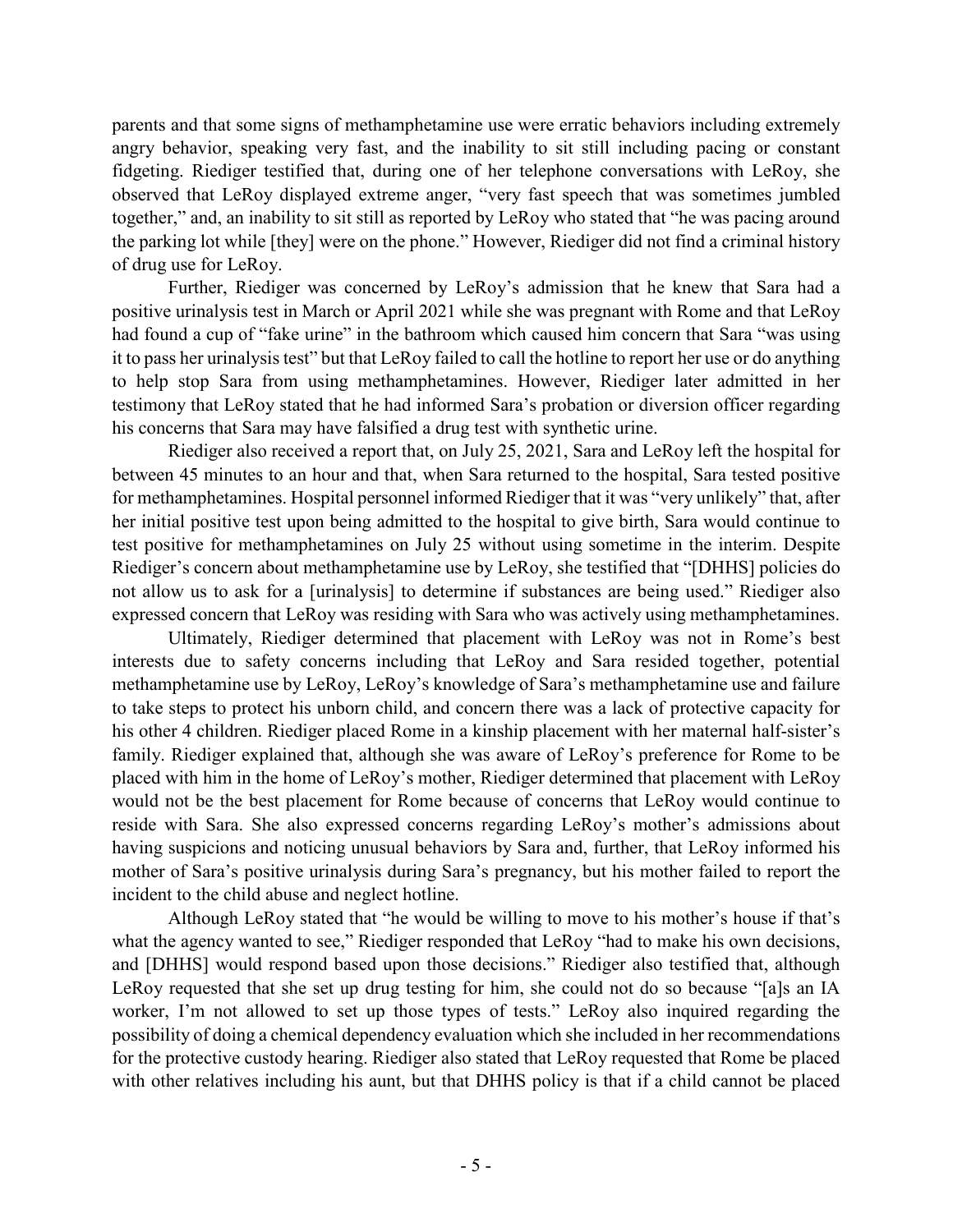parents and that some signs of methamphetamine use were erratic behaviors including extremely angry behavior, speaking very fast, and the inability to sit still including pacing or constant fidgeting. Riediger testified that, during one of her telephone conversations with LeRoy, she observed that LeRoy displayed extreme anger, "very fast speech that was sometimes jumbled together," and, an inability to sit still as reported by LeRoy who stated that "he was pacing around the parking lot while [they] were on the phone." However, Riediger did not find a criminal history of drug use for LeRoy.

Further, Riediger was concerned by LeRoy's admission that he knew that Sara had a positive urinalysis test in March or April 2021 while she was pregnant with Rome and that LeRoy had found a cup of "fake urine" in the bathroom which caused him concern that Sara "was using it to pass her urinalysis test" but that LeRoy failed to call the hotline to report her use or do anything to help stop Sara from using methamphetamines. However, Riediger later admitted in her testimony that LeRoy stated that he had informed Sara's probation or diversion officer regarding his concerns that Sara may have falsified a drug test with synthetic urine.

Riediger also received a report that, on July 25, 2021, Sara and LeRoy left the hospital for between 45 minutes to an hour and that, when Sara returned to the hospital, Sara tested positive for methamphetamines. Hospital personnel informed Riediger that it was "very unlikely" that, after her initial positive test upon being admitted to the hospital to give birth, Sara would continue to test positive for methamphetamines on July 25 without using sometime in the interim. Despite Riediger's concern about methamphetamine use by LeRoy, she testified that "[DHHS] policies do not allow us to ask for a [urinalysis] to determine if substances are being used." Riediger also expressed concern that LeRoy was residing with Sara who was actively using methamphetamines.

Ultimately, Riediger determined that placement with LeRoy was not in Rome's best interests due to safety concerns including that LeRoy and Sara resided together, potential methamphetamine use by LeRoy, LeRoy's knowledge of Sara's methamphetamine use and failure to take steps to protect his unborn child, and concern there was a lack of protective capacity for his other 4 children. Riediger placed Rome in a kinship placement with her maternal half-sister's family. Riediger explained that, although she was aware of LeRoy's preference for Rome to be placed with him in the home of LeRoy's mother, Riediger determined that placement with LeRoy would not be the best placement for Rome because of concerns that LeRoy would continue to reside with Sara. She also expressed concerns regarding LeRoy's mother's admissions about having suspicions and noticing unusual behaviors by Sara and, further, that LeRoy informed his mother of Sara's positive urinalysis during Sara's pregnancy, but his mother failed to report the incident to the child abuse and neglect hotline.

Although LeRoy stated that "he would be willing to move to his mother's house if that's what the agency wanted to see," Riediger responded that LeRoy "had to make his own decisions, and [DHHS] would respond based upon those decisions." Riediger also testified that, although LeRoy requested that she set up drug testing for him, she could not do so because "[a]s an IA worker, I'm not allowed to set up those types of tests." LeRoy also inquired regarding the possibility of doing a chemical dependency evaluation which she included in her recommendations for the protective custody hearing. Riediger also stated that LeRoy requested that Rome be placed with other relatives including his aunt, but that DHHS policy is that if a child cannot be placed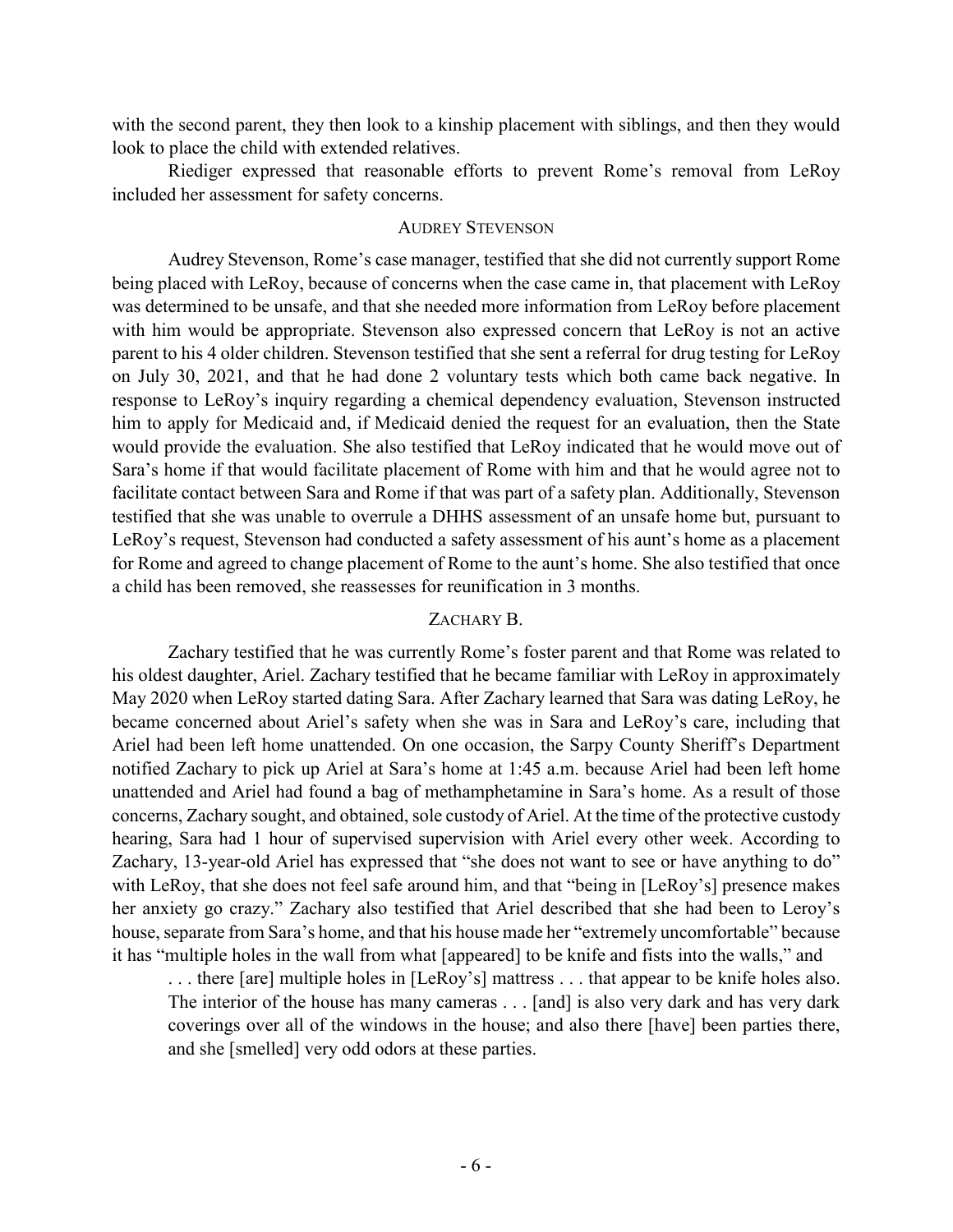with the second parent, they then look to a kinship placement with siblings, and then they would look to place the child with extended relatives.

Riediger expressed that reasonable efforts to prevent Rome's removal from LeRoy included her assessment for safety concerns.

### AUDREY STEVENSON

Audrey Stevenson, Rome's case manager, testified that she did not currently support Rome being placed with LeRoy, because of concerns when the case came in, that placement with LeRoy was determined to be unsafe, and that she needed more information from LeRoy before placement with him would be appropriate. Stevenson also expressed concern that LeRoy is not an active parent to his 4 older children. Stevenson testified that she sent a referral for drug testing for LeRoy on July 30, 2021, and that he had done 2 voluntary tests which both came back negative. In response to LeRoy's inquiry regarding a chemical dependency evaluation, Stevenson instructed him to apply for Medicaid and, if Medicaid denied the request for an evaluation, then the State would provide the evaluation. She also testified that LeRoy indicated that he would move out of Sara's home if that would facilitate placement of Rome with him and that he would agree not to facilitate contact between Sara and Rome if that was part of a safety plan. Additionally, Stevenson testified that she was unable to overrule a DHHS assessment of an unsafe home but, pursuant to LeRoy's request, Stevenson had conducted a safety assessment of his aunt's home as a placement for Rome and agreed to change placement of Rome to the aunt's home. She also testified that once a child has been removed, she reassesses for reunification in 3 months.

### ZACHARY B.

Zachary testified that he was currently Rome's foster parent and that Rome was related to his oldest daughter, Ariel. Zachary testified that he became familiar with LeRoy in approximately May 2020 when LeRoy started dating Sara. After Zachary learned that Sara was dating LeRoy, he became concerned about Ariel's safety when she was in Sara and LeRoy's care, including that Ariel had been left home unattended. On one occasion, the Sarpy County Sheriff's Department notified Zachary to pick up Ariel at Sara's home at 1:45 a.m. because Ariel had been left home unattended and Ariel had found a bag of methamphetamine in Sara's home. As a result of those concerns, Zachary sought, and obtained, sole custody of Ariel. At the time of the protective custody hearing, Sara had 1 hour of supervised supervision with Ariel every other week. According to Zachary, 13-year-old Ariel has expressed that "she does not want to see or have anything to do" with LeRoy, that she does not feel safe around him, and that "being in [LeRoy's] presence makes her anxiety go crazy." Zachary also testified that Ariel described that she had been to Leroy's house, separate from Sara's home, and that his house made her "extremely uncomfortable" because it has "multiple holes in the wall from what [appeared] to be knife and fists into the walls," and

. . . there [are] multiple holes in [LeRoy's] mattress . . . that appear to be knife holes also. The interior of the house has many cameras . . . [and] is also very dark and has very dark coverings over all of the windows in the house; and also there [have] been parties there, and she [smelled] very odd odors at these parties.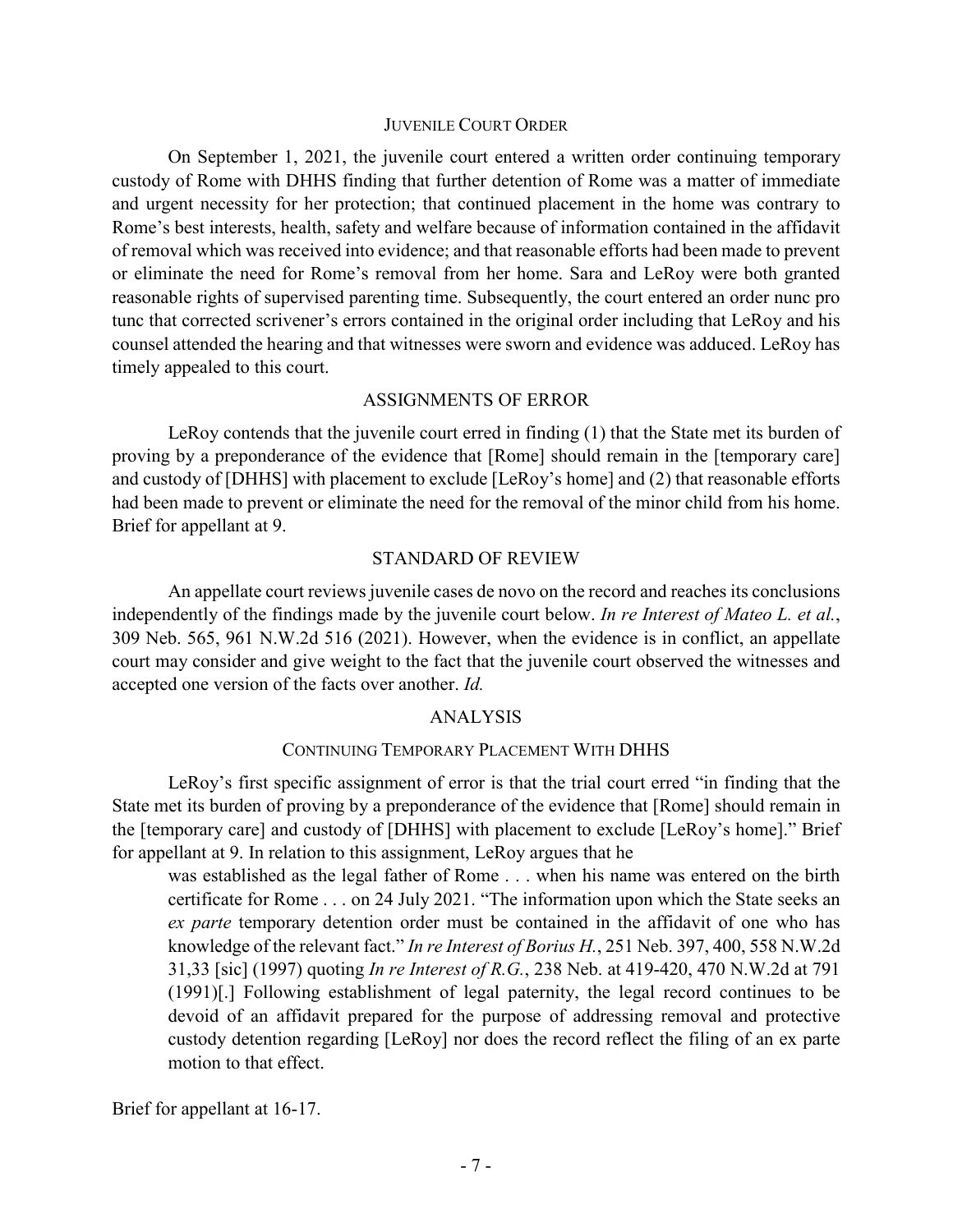#### JUVENILE COURT ORDER

On September 1, 2021, the juvenile court entered a written order continuing temporary custody of Rome with DHHS finding that further detention of Rome was a matter of immediate and urgent necessity for her protection; that continued placement in the home was contrary to Rome's best interests, health, safety and welfare because of information contained in the affidavit of removal which was received into evidence; and that reasonable efforts had been made to prevent or eliminate the need for Rome's removal from her home. Sara and LeRoy were both granted reasonable rights of supervised parenting time. Subsequently, the court entered an order nunc pro tunc that corrected scrivener's errors contained in the original order including that LeRoy and his counsel attended the hearing and that witnesses were sworn and evidence was adduced. LeRoy has timely appealed to this court.

### ASSIGNMENTS OF ERROR

LeRoy contends that the juvenile court erred in finding (1) that the State met its burden of proving by a preponderance of the evidence that [Rome] should remain in the [temporary care] and custody of [DHHS] with placement to exclude [LeRoy's home] and (2) that reasonable efforts had been made to prevent or eliminate the need for the removal of the minor child from his home. Brief for appellant at 9.

#### STANDARD OF REVIEW

An appellate court reviews juvenile cases de novo on the record and reaches its conclusions independently of the findings made by the juvenile court below. *In re Interest of Mateo L. et al.*, 309 Neb. 565, 961 N.W.2d 516 (2021). However, when the evidence is in conflict, an appellate court may consider and give weight to the fact that the juvenile court observed the witnesses and accepted one version of the facts over another. *Id.*

#### ANALYSIS

#### CONTINUING TEMPORARY PLACEMENT WITH DHHS

LeRoy's first specific assignment of error is that the trial court erred "in finding that the State met its burden of proving by a preponderance of the evidence that [Rome] should remain in the [temporary care] and custody of [DHHS] with placement to exclude [LeRoy's home]." Brief for appellant at 9. In relation to this assignment, LeRoy argues that he

was established as the legal father of Rome . . . when his name was entered on the birth certificate for Rome . . . on 24 July 2021. "The information upon which the State seeks an *ex parte* temporary detention order must be contained in the affidavit of one who has knowledge of the relevant fact." *In re Interest of Borius H.*, 251 Neb. 397, 400, 558 N.W.2d 31,33 [sic] (1997) quoting *In re Interest of R.G.*, 238 Neb. at 419-420, 470 N.W.2d at 791 (1991)[.] Following establishment of legal paternity, the legal record continues to be devoid of an affidavit prepared for the purpose of addressing removal and protective custody detention regarding [LeRoy] nor does the record reflect the filing of an ex parte motion to that effect.

Brief for appellant at 16-17.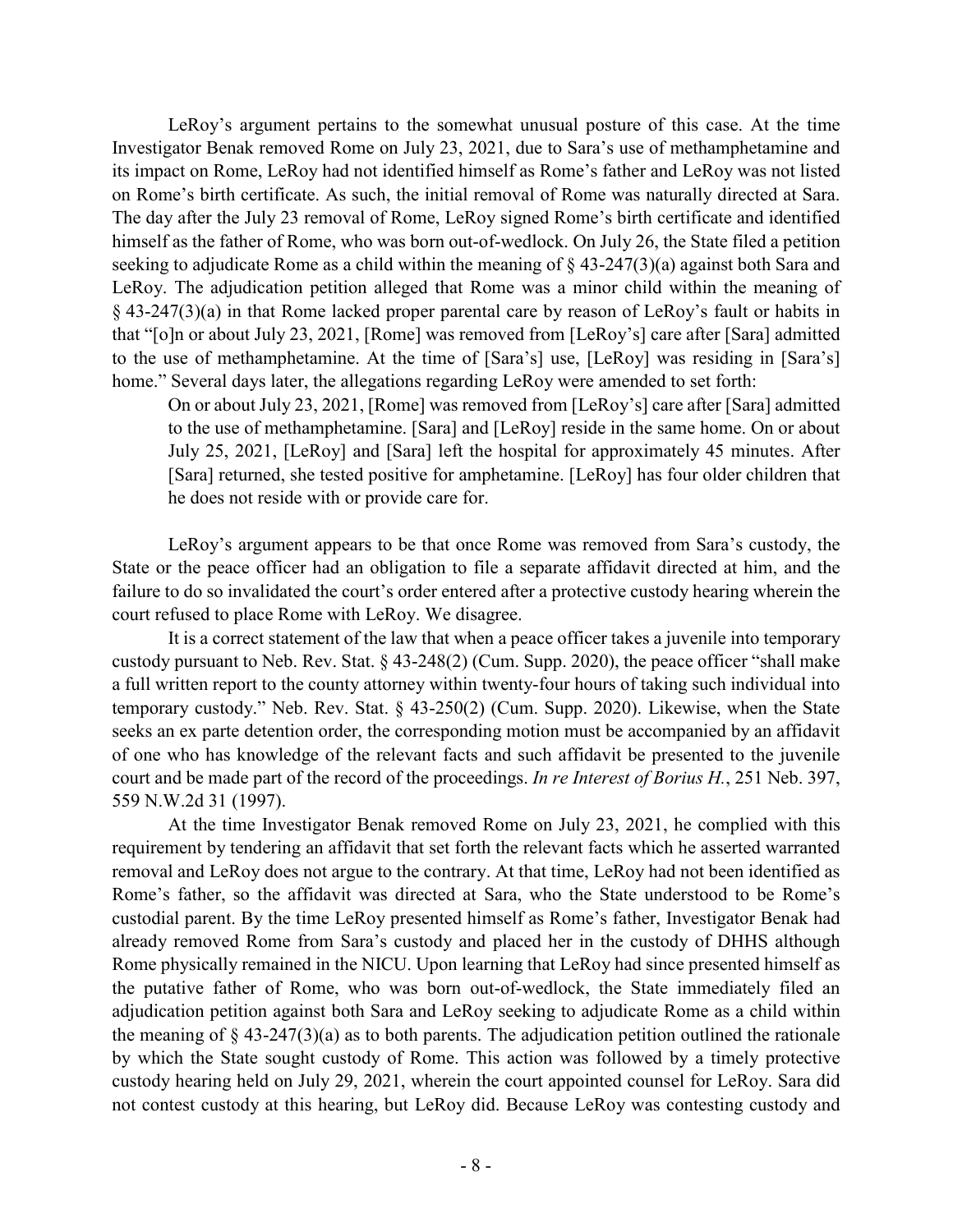LeRoy's argument pertains to the somewhat unusual posture of this case. At the time Investigator Benak removed Rome on July 23, 2021, due to Sara's use of methamphetamine and its impact on Rome, LeRoy had not identified himself as Rome's father and LeRoy was not listed on Rome's birth certificate. As such, the initial removal of Rome was naturally directed at Sara. The day after the July 23 removal of Rome, LeRoy signed Rome's birth certificate and identified himself as the father of Rome, who was born out-of-wedlock. On July 26, the State filed a petition seeking to adjudicate Rome as a child within the meaning of § 43-247(3)(a) against both Sara and LeRoy. The adjudication petition alleged that Rome was a minor child within the meaning of § 43-247(3)(a) in that Rome lacked proper parental care by reason of LeRoy's fault or habits in that "[o]n or about July 23, 2021, [Rome] was removed from [LeRoy's] care after [Sara] admitted to the use of methamphetamine. At the time of [Sara's] use, [LeRoy] was residing in [Sara's] home." Several days later, the allegations regarding LeRoy were amended to set forth:

On or about July 23, 2021, [Rome] was removed from [LeRoy's] care after [Sara] admitted to the use of methamphetamine. [Sara] and [LeRoy] reside in the same home. On or about July 25, 2021, [LeRoy] and [Sara] left the hospital for approximately 45 minutes. After [Sara] returned, she tested positive for amphetamine. [LeRoy] has four older children that he does not reside with or provide care for.

LeRoy's argument appears to be that once Rome was removed from Sara's custody, the State or the peace officer had an obligation to file a separate affidavit directed at him, and the failure to do so invalidated the court's order entered after a protective custody hearing wherein the court refused to place Rome with LeRoy. We disagree.

It is a correct statement of the law that when a peace officer takes a juvenile into temporary custody pursuant to Neb. Rev. Stat. § 43-248(2) (Cum. Supp. 2020), the peace officer "shall make a full written report to the county attorney within twenty-four hours of taking such individual into temporary custody." Neb. Rev. Stat. § 43-250(2) (Cum. Supp. 2020). Likewise, when the State seeks an ex parte detention order, the corresponding motion must be accompanied by an affidavit of one who has knowledge of the relevant facts and such affidavit be presented to the juvenile court and be made part of the record of the proceedings. *In re Interest of Borius H.*, 251 Neb. 397, 559 N.W.2d 31 (1997).

At the time Investigator Benak removed Rome on July 23, 2021, he complied with this requirement by tendering an affidavit that set forth the relevant facts which he asserted warranted removal and LeRoy does not argue to the contrary. At that time, LeRoy had not been identified as Rome's father, so the affidavit was directed at Sara, who the State understood to be Rome's custodial parent. By the time LeRoy presented himself as Rome's father, Investigator Benak had already removed Rome from Sara's custody and placed her in the custody of DHHS although Rome physically remained in the NICU. Upon learning that LeRoy had since presented himself as the putative father of Rome, who was born out-of-wedlock, the State immediately filed an adjudication petition against both Sara and LeRoy seeking to adjudicate Rome as a child within the meaning of  $\S$  43-247(3)(a) as to both parents. The adjudication petition outlined the rationale by which the State sought custody of Rome. This action was followed by a timely protective custody hearing held on July 29, 2021, wherein the court appointed counsel for LeRoy. Sara did not contest custody at this hearing, but LeRoy did. Because LeRoy was contesting custody and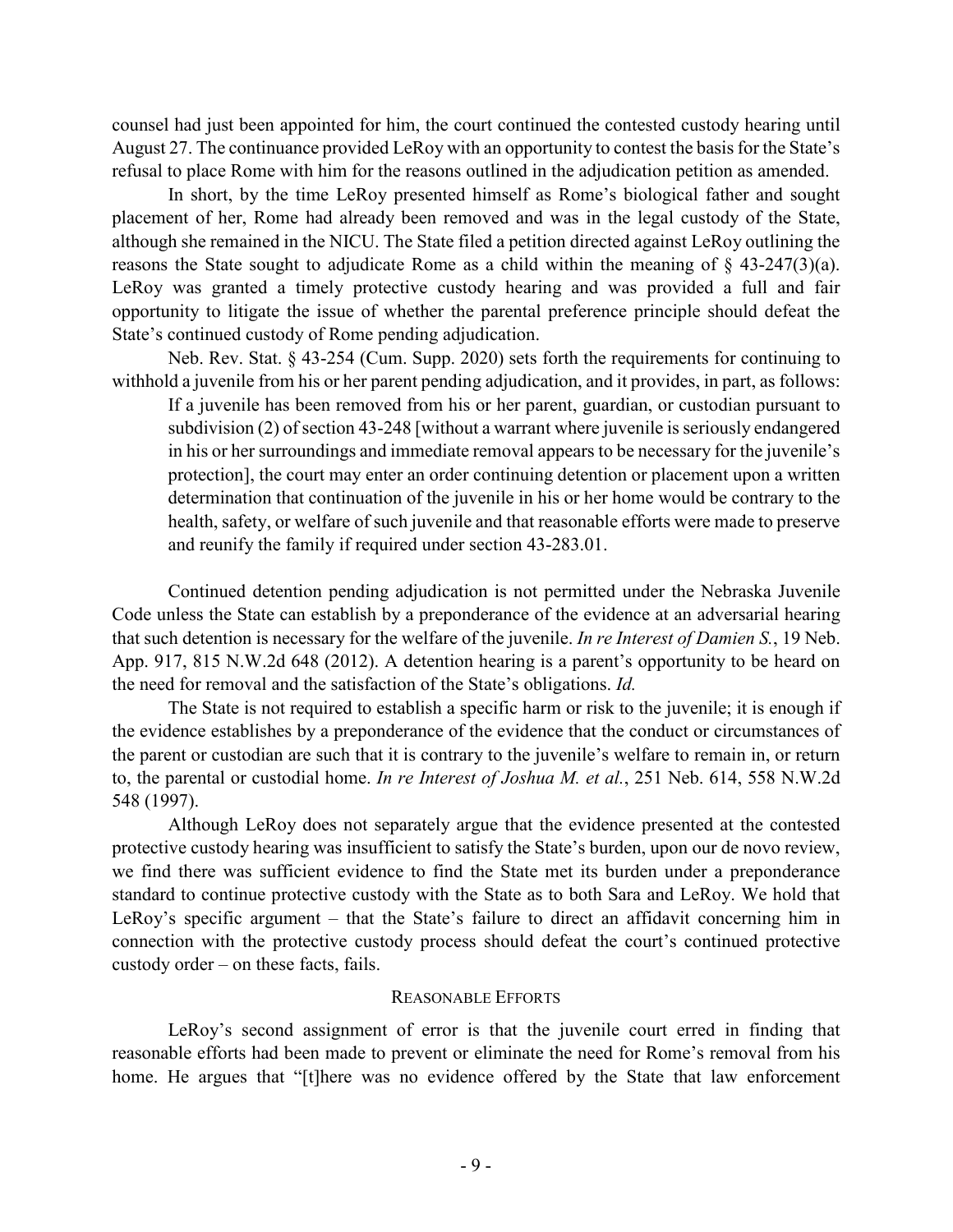counsel had just been appointed for him, the court continued the contested custody hearing until August 27. The continuance provided LeRoy with an opportunity to contest the basis for the State's refusal to place Rome with him for the reasons outlined in the adjudication petition as amended.

In short, by the time LeRoy presented himself as Rome's biological father and sought placement of her, Rome had already been removed and was in the legal custody of the State, although she remained in the NICU. The State filed a petition directed against LeRoy outlining the reasons the State sought to adjudicate Rome as a child within the meaning of  $\S$  43-247(3)(a). LeRoy was granted a timely protective custody hearing and was provided a full and fair opportunity to litigate the issue of whether the parental preference principle should defeat the State's continued custody of Rome pending adjudication.

Neb. Rev. Stat. § 43-254 (Cum. Supp. 2020) sets forth the requirements for continuing to withhold a juvenile from his or her parent pending adjudication, and it provides, in part, as follows:

If a juvenile has been removed from his or her parent, guardian, or custodian pursuant to subdivision (2) of section 43-248 [without a warrant where juvenile is seriously endangered in his or her surroundings and immediate removal appears to be necessary for the juvenile's protection], the court may enter an order continuing detention or placement upon a written determination that continuation of the juvenile in his or her home would be contrary to the health, safety, or welfare of such juvenile and that reasonable efforts were made to preserve and reunify the family if required under section 43-283.01.

Continued detention pending adjudication is not permitted under the Nebraska Juvenile Code unless the State can establish by a preponderance of the evidence at an adversarial hearing that such detention is necessary for the welfare of the juvenile. *In re Interest of Damien S.*, 19 Neb. App. 917, 815 N.W.2d 648 (2012). A detention hearing is a parent's opportunity to be heard on the need for removal and the satisfaction of the State's obligations. *Id.*

The State is not required to establish a specific harm or risk to the juvenile; it is enough if the evidence establishes by a preponderance of the evidence that the conduct or circumstances of the parent or custodian are such that it is contrary to the juvenile's welfare to remain in, or return to, the parental or custodial home. *In re Interest of Joshua M. et al.*, 251 Neb. 614, 558 N.W.2d 548 (1997).

Although LeRoy does not separately argue that the evidence presented at the contested protective custody hearing was insufficient to satisfy the State's burden, upon our de novo review, we find there was sufficient evidence to find the State met its burden under a preponderance standard to continue protective custody with the State as to both Sara and LeRoy. We hold that LeRoy's specific argument – that the State's failure to direct an affidavit concerning him in connection with the protective custody process should defeat the court's continued protective custody order – on these facts, fails.

### REASONABLE EFFORTS

LeRoy's second assignment of error is that the juvenile court erred in finding that reasonable efforts had been made to prevent or eliminate the need for Rome's removal from his home. He argues that "[t]here was no evidence offered by the State that law enforcement